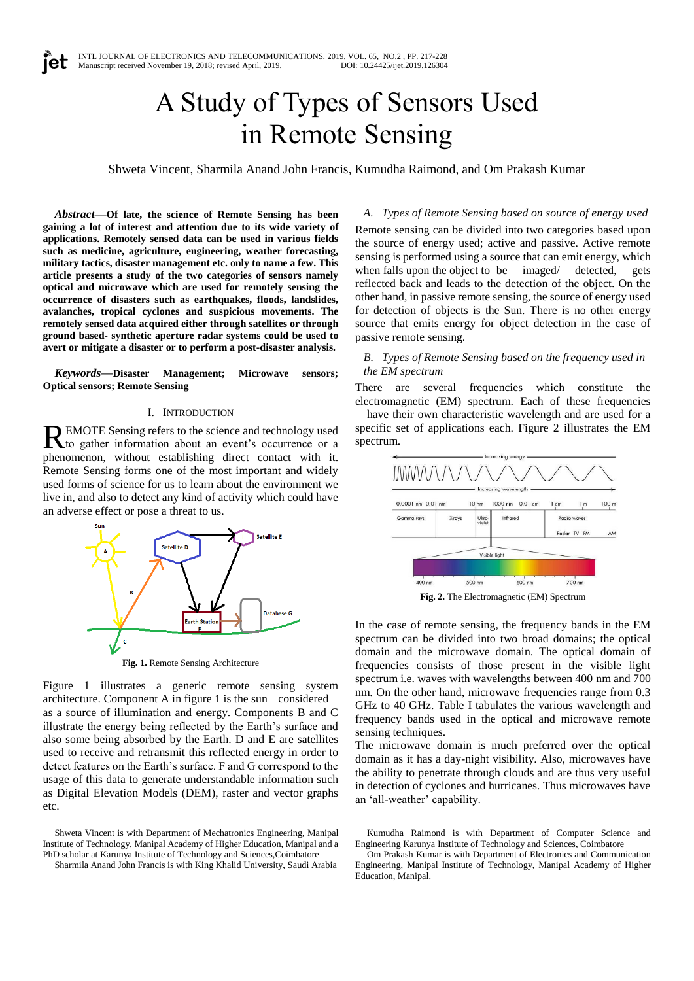# A Study of Types of Sensors Used in Remote Sensing

Shweta Vincent, Sharmila Anand John Francis, Kumudha Raimond, and Om Prakash Kumar

*Abstract***—Of late, the science of Remote Sensing has been gaining a lot of interest and attention due to its wide variety of applications. Remotely sensed data can be used in various fields such as medicine, agriculture, engineering, weather forecasting, military tactics, disaster management etc. only to name a few. This article presents a study of the two categories of sensors namely optical and microwave which are used for remotely sensing the occurrence of disasters such as earthquakes, floods, landslides, avalanches, tropical cyclones and suspicious movements. The remotely sensed data acquired either through satellites or through ground based- synthetic aperture radar systems could be used to avert or mitigate a disaster or to perform a post-disaster analysis.**

*Keywords—***Disaster Management; Microwave sensors; Optical sensors; Remote Sensing**

#### I. INTRODUCTION

EMOTE Sensing refers to the science and technology used REMOTE Sensing refers to the science and technology used<br>to gather information about an event's occurrence or a phenomenon, without establishing direct contact with it. Remote Sensing forms one of the most important and widely used forms of science for us to learn about the environment we live in, and also to detect any kind of activity which could have an adverse effect or pose a threat to us.



**Fig. 1.** Remote Sensing Architecture

Figure 1 illustrates a generic remote sensing system architecture. Component A in figure 1 is the sun considered as a source of illumination and energy. Components B and C illustrate the energy being reflected by the Earth's surface and also some being absorbed by the Earth. D and E are satellites used to receive and retransmit this reflected energy in order to detect features on the Earth's surface. F and G correspond to the usage of this data to generate understandable information such as Digital Elevation Models (DEM), raster and vector graphs etc.

Shweta Vincent is with Department of Mechatronics Engineering, Manipal Institute of Technology, Manipal Academy of Higher Education, Manipal and a PhD scholar at Karunya Institute of Technology and Sciences,Coimbatore

Sharmila Anand John Francis is with King Khalid University, Saudi Arabia

## *A. Types of Remote Sensing based on source of energy used*

Remote sensing can be divided into two categories based upon the source of energy used; active and passive. Active remote sensing is performed using a source that can emit energy, which when falls upon the object to be imaged/ detected, gets reflected back and leads to the detection of the object. On the other hand, in passive remote sensing, the source of energy used for detection of objects is the Sun. There is no other energy source that emits energy for object detection in the case of passive remote sensing.

## *B. Types of Remote Sensing based on the frequency used in the EM spectrum*

There are several frequencies which constitute the electromagnetic (EM) spectrum. Each of these frequencies

have their own characteristic wavelength and are used for a specific set of applications each. Figure 2 illustrates the EM spectrum.



**Fig. 2.** The Electromagnetic (EM) Spectrum

In the case of remote sensing, the frequency bands in the EM spectrum can be divided into two broad domains; the optical domain and the microwave domain. The optical domain of frequencies consists of those present in the visible light spectrum i.e. waves with wavelengths between 400 nm and 700 nm. On the other hand, microwave frequencies range from 0.3 GHz to 40 GHz. Table I tabulates the various wavelength and frequency bands used in the optical and microwave remote sensing techniques.

The microwave domain is much preferred over the optical domain as it has a day-night visibility. Also, microwaves have the ability to penetrate through clouds and are thus very useful in detection of cyclones and hurricanes. Thus microwaves have an 'all-weather' capability.

Kumudha Raimond is with Department of Computer Science and Engineering Karunya Institute of Technology and Sciences, Coimbatore

Om Prakash Kumar is with Department of Electronics and Communication Engineering, Manipal Institute of Technology, Manipal Academy of Higher Education, Manipal.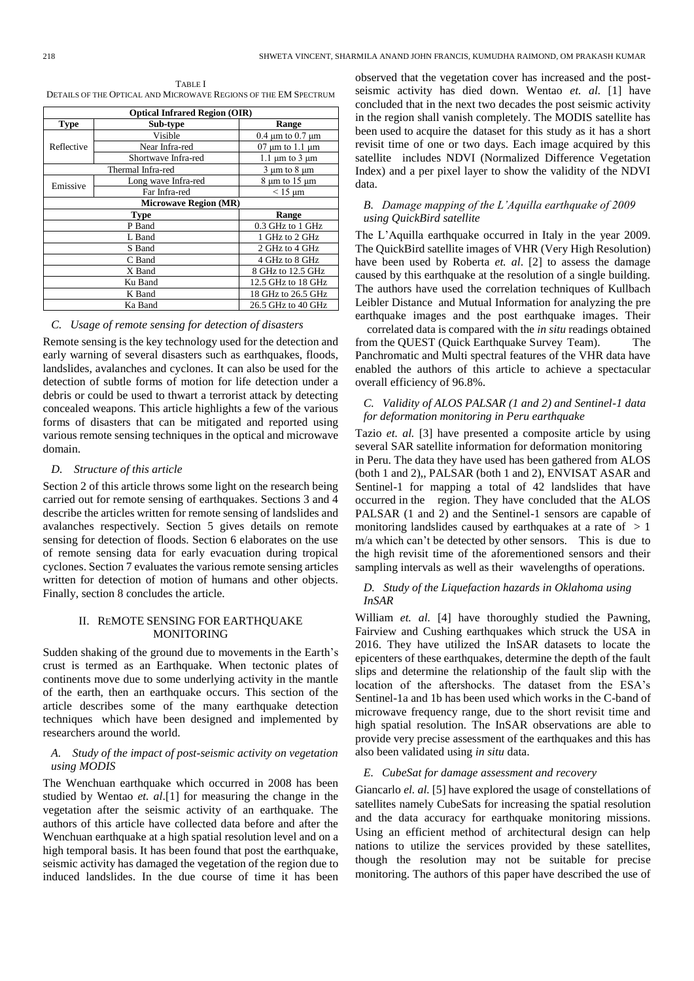TABLE I DETAILS OF THE OPTICAL AND MICROWAVE REGIONS OF THE EM SPECTRUM

| <b>Optical Infrared Region (OIR)</b> |                              |                            |  |  |  |  |
|--------------------------------------|------------------------------|----------------------------|--|--|--|--|
| <b>Type</b>                          | Sub-type                     | Range                      |  |  |  |  |
|                                      | Visible                      | $0.4 \mu m$ to $0.7 \mu m$ |  |  |  |  |
| Reflective                           | Near Infra-red               | $07 \mu m$ to 1.1 $\mu m$  |  |  |  |  |
|                                      | Shortwave Infra-red          | 1.1 $\mu$ m to 3 $\mu$ m   |  |  |  |  |
|                                      | Thermal Infra-red            | $3 \mu m$ to $8 \mu m$     |  |  |  |  |
| Emissive                             | Long wave Infra-red          | $8 \mu m$ to $15 \mu m$    |  |  |  |  |
|                                      | Far Infra-red                | $< 15 \mu m$               |  |  |  |  |
|                                      | <b>Microwave Region (MR)</b> |                            |  |  |  |  |
| <b>Type</b><br>Range                 |                              |                            |  |  |  |  |
|                                      | P Band                       | 0.3 GHz to 1 GHz           |  |  |  |  |
|                                      | L Band                       | 1 GHz to 2 GHz             |  |  |  |  |
|                                      | S Band                       | 2 GHz to 4 GHz             |  |  |  |  |
|                                      | C Band                       | 4 GHz to 8 GHz             |  |  |  |  |
|                                      | X Band                       | 8 GHz to 12.5 GHz          |  |  |  |  |
|                                      | Ku Band                      | 12.5 GHz to 18 GHz         |  |  |  |  |
|                                      | K Band                       | 18 GHz to 26.5 GHz         |  |  |  |  |
| 26.5 GHz to 40 GHz<br>Ka Band        |                              |                            |  |  |  |  |

# *C. Usage of remote sensing for detection of disasters*

Remote sensing is the key technology used for the detection and early warning of several disasters such as earthquakes, floods, landslides, avalanches and cyclones. It can also be used for the detection of subtle forms of motion for life detection under a debris or could be used to thwart a terrorist attack by detecting concealed weapons. This article highlights a few of the various forms of disasters that can be mitigated and reported using various remote sensing techniques in the optical and microwave domain.

#### *D. Structure of this article*

Section 2 of this article throws some light on the research being carried out for remote sensing of earthquakes. Sections 3 and 4 describe the articles written for remote sensing of landslides and avalanches respectively. Section 5 gives details on remote sensing for detection of floods. Section 6 elaborates on the use of remote sensing data for early evacuation during tropical cyclones. Section 7 evaluates the various remote sensing articles written for detection of motion of humans and other objects. Finally, section 8 concludes the article.

## II. REMOTE SENSING FOR EARTHQUAKE MONITORING

Sudden shaking of the ground due to movements in the Earth's crust is termed as an Earthquake. When tectonic plates of continents move due to some underlying activity in the mantle of the earth, then an earthquake occurs. This section of the article describes some of the many earthquake detection techniques which have been designed and implemented by researchers around the world.

# *A. Study of the impact of post-seismic activity on vegetation using MODIS*

The Wenchuan earthquake which occurred in 2008 has been studied by Wentao *et. al*.[1] for measuring the change in the vegetation after the seismic activity of an earthquake. The authors of this article have collected data before and after the Wenchuan earthquake at a high spatial resolution level and on a high temporal basis. It has been found that post the earthquake, seismic activity has damaged the vegetation of the region due to induced landslides. In the due course of time it has been

observed that the vegetation cover has increased and the postseismic activity has died down. Wentao *et. al.* [1] have concluded that in the next two decades the post seismic activity in the region shall vanish completely. The MODIS satellite has been used to acquire the dataset for this study as it has a short revisit time of one or two days. Each image acquired by this satellite includes NDVI (Normalized Difference Vegetation Index) and a per pixel layer to show the validity of the NDVI data.

# *B. Damage mapping of the L'Aquilla earthquake of 2009 using QuickBird satellite*

The L'Aquilla earthquake occurred in Italy in the year 2009. The QuickBird satellite images of VHR (Very High Resolution) have been used by Roberta *et. al*. [2] to assess the damage caused by this earthquake at the resolution of a single building. The authors have used the correlation techniques of Kullbach Leibler Distance and Mutual Information for analyzing the pre earthquake images and the post earthquake images. Their

correlated data is compared with the *in situ* readings obtained from the QUEST (Quick Earthquake Survey Team). The Panchromatic and Multi spectral features of the VHR data have enabled the authors of this article to achieve a spectacular overall efficiency of 96.8%.

# *C. Validity of ALOS PALSAR (1 and 2) and Sentinel-1 data for deformation monitoring in Peru earthquake*

Tazio *et. al.* [3] have presented a composite article by using several SAR satellite information for deformation monitoring in Peru. The data they have used has been gathered from ALOS (both 1 and 2),, PALSAR (both 1 and 2), ENVISAT ASAR and Sentinel-1 for mapping a total of 42 landslides that have occurred in the region. They have concluded that the ALOS PALSAR (1 and 2) and the Sentinel-1 sensors are capable of monitoring landslides caused by earthquakes at a rate of  $> 1$ m/a which can't be detected by other sensors. This is due to the high revisit time of the aforementioned sensors and their sampling intervals as well as their wavelengths of operations.

## *D. Study of the Liquefaction hazards in Oklahoma using InSAR*

William *et. al.* [4] have thoroughly studied the Pawning, Fairview and Cushing earthquakes which struck the USA in 2016. They have utilized the InSAR datasets to locate the epicenters of these earthquakes, determine the depth of the fault slips and determine the relationship of the fault slip with the location of the aftershocks. The dataset from the ESA's Sentinel-1a and 1b has been used which works in the C-band of microwave frequency range, due to the short revisit time and high spatial resolution. The InSAR observations are able to provide very precise assessment of the earthquakes and this has also been validated using *in situ* data.

# *E. CubeSat for damage assessment and recovery*

Giancarlo *el. al.* [5] have explored the usage of constellations of satellites namely CubeSats for increasing the spatial resolution and the data accuracy for earthquake monitoring missions. Using an efficient method of architectural design can help nations to utilize the services provided by these satellites, though the resolution may not be suitable for precise monitoring. The authors of this paper have described the use of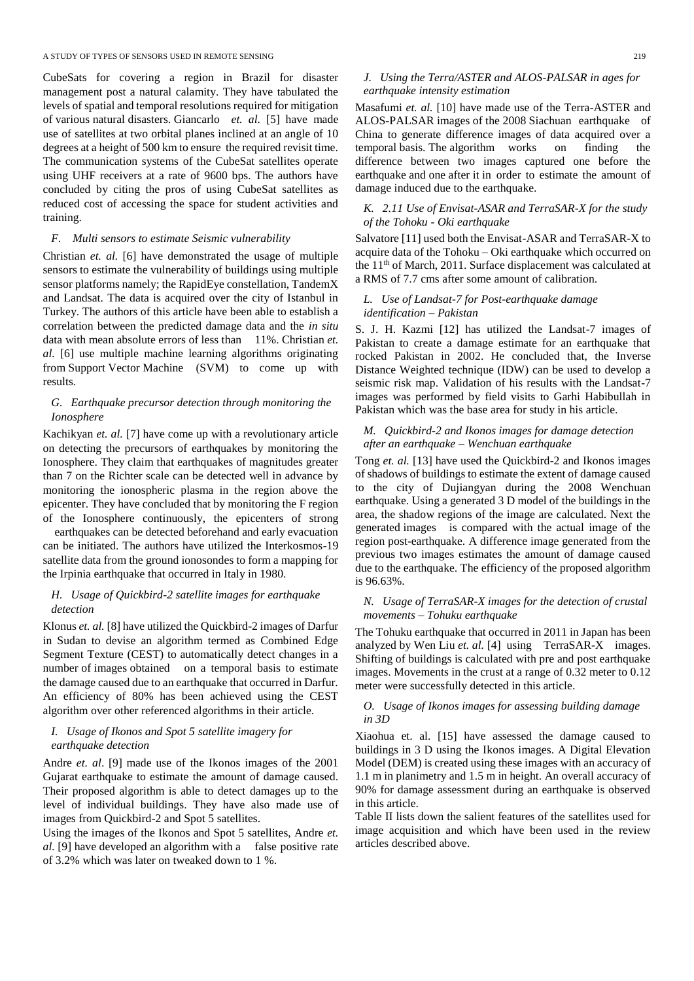CubeSats for covering a region in Brazil for disaster management post a natural calamity. They have tabulated the levels of spatial and temporal resolutions required for mitigation of various natural disasters. Giancarlo *et. al.* [5] have made use of satellites at two orbital planes inclined at an angle of 10 degrees at a height of 500 km to ensure the required revisit time. The communication systems of the CubeSat satellites operate using UHF receivers at a rate of 9600 bps. The authors have concluded by citing the pros of using CubeSat satellites as reduced cost of accessing the space for student activities and training.

# *F. Multi sensors to estimate Seismic vulnerability*

Christian *et. al.* [6] have demonstrated the usage of multiple sensors to estimate the vulnerability of buildings using multiple sensor platforms namely; the RapidEye constellation, TandemX and Landsat. The data is acquired over the city of Istanbul in Turkey. The authors of this article have been able to establish a correlation between the predicted damage data and the *in situ* data with mean absolute errors of less than 11%. Christian *et. al.* [6] use multiple machine learning algorithms originating from Support Vector Machine (SVM) to come up with results.

# *G. Earthquake precursor detection through monitoring the Ionosphere*

Kachikyan *et. al.* [7] have come up with a revolutionary article on detecting the precursors of earthquakes by monitoring the Ionosphere. They claim that earthquakes of magnitudes greater than 7 on the Richter scale can be detected well in advance by monitoring the ionospheric plasma in the region above the epicenter. They have concluded that by monitoring the F region of the Ionosphere continuously, the epicenters of strong

earthquakes can be detected beforehand and early evacuation can be initiated. The authors have utilized the Interkosmos-19 satellite data from the ground ionosondes to form a mapping for the Irpinia earthquake that occurred in Italy in 1980.

# *H. Usage of Quickbird-2 satellite images for earthquake detection*

Klonus *et. al.* [8] have utilized the Quickbird-2 images of Darfur in Sudan to devise an algorithm termed as Combined Edge Segment Texture (CEST) to automatically detect changes in a number of images obtained on a temporal basis to estimate the damage caused due to an earthquake that occurred in Darfur. An efficiency of 80% has been achieved using the CEST algorithm over other referenced algorithms in their article.

# *I. Usage of Ikonos and Spot 5 satellite imagery for earthquake detection*

Andre *et. al*. [9] made use of the Ikonos images of the 2001 Gujarat earthquake to estimate the amount of damage caused. Their proposed algorithm is able to detect damages up to the level of individual buildings. They have also made use of images from Quickbird-2 and Spot 5 satellites.

Using the images of the Ikonos and Spot 5 satellites, Andre *et. al.* [9] have developed an algorithm with a false positive rate of 3.2% which was later on tweaked down to 1 %.

## *J. Using the Terra/ASTER and ALOS-PALSAR in ages for earthquake intensity estimation*

Masafumi *et. al.* [10] have made use of the Terra-ASTER and ALOS-PALSAR images of the 2008 Siachuan earthquake of China to generate difference images of data acquired over a temporal basis. The algorithm works on finding the difference between two images captured one before the earthquake and one after it in order to estimate the amount of damage induced due to the earthquake.

# *K. 2.11 Use of Envisat-ASAR and TerraSAR-X for the study of the Tohoku - Oki earthquake*

Salvatore [11] used both the Envisat-ASAR and TerraSAR-X to acquire data of the Tohoku – Oki earthquake which occurred on the 11<sup>th</sup> of March, 2011. Surface displacement was calculated at a RMS of 7.7 cms after some amount of calibration.

# *L. Use of Landsat-7 for Post-earthquake damage identification – Pakistan*

S. J. H. Kazmi [12] has utilized the Landsat-7 images of Pakistan to create a damage estimate for an earthquake that rocked Pakistan in 2002. He concluded that, the Inverse Distance Weighted technique (IDW) can be used to develop a seismic risk map. Validation of his results with the Landsat-7 images was performed by field visits to Garhi Habibullah in Pakistan which was the base area for study in his article.

# *M. Quickbird-2 and Ikonos images for damage detection after an earthquake – Wenchuan earthquake*

Tong *et. al.* [13] have used the Quickbird-2 and Ikonos images of shadows of buildings to estimate the extent of damage caused to the city of Dujiangyan during the 2008 Wenchuan earthquake. Using a generated 3 D model of the buildings in the area, the shadow regions of the image are calculated. Next the generated images is compared with the actual image of the region post-earthquake. A difference image generated from the previous two images estimates the amount of damage caused due to the earthquake. The efficiency of the proposed algorithm is 96.63%.

# *N. Usage of TerraSAR-X images for the detection of crustal movements – Tohuku earthquake*

The Tohuku earthquake that occurred in 2011 in Japan has been analyzed by Wen Liu et. al. [4] using TerraSAR-X images. Shifting of buildings is calculated with pre and post earthquake images. Movements in the crust at a range of 0.32 meter to 0.12 meter were successfully detected in this article.

# *O. Usage of Ikonos images for assessing building damage in 3D*

Xiaohua et. al. [15] have assessed the damage caused to buildings in 3 D using the Ikonos images. A Digital Elevation Model (DEM) is created using these images with an accuracy of 1.1 m in planimetry and 1.5 m in height. An overall accuracy of 90% for damage assessment during an earthquake is observed in this article.

Table II lists down the salient features of the satellites used for image acquisition and which have been used in the review articles described above.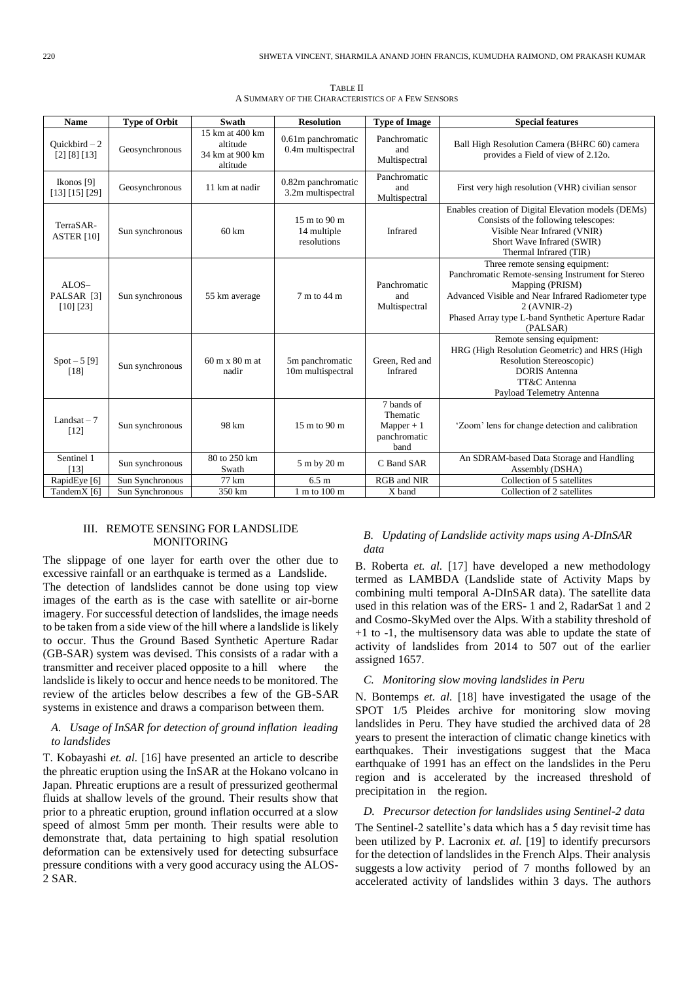| TABLE II                                          |  |
|---------------------------------------------------|--|
| A SUMMARY OF THE CHARACTERISTICS OF A FEW SENSORS |  |

| <b>Name</b>                                 | <b>Type of Orbit</b> | <b>Swath</b>                                               | <b>Resolution</b>                                    | <b>Type of Image</b>                                           | <b>Special features</b>                                                                                                                                                                                                                       |
|---------------------------------------------|----------------------|------------------------------------------------------------|------------------------------------------------------|----------------------------------------------------------------|-----------------------------------------------------------------------------------------------------------------------------------------------------------------------------------------------------------------------------------------------|
| Quickbird $-2$<br>[2] [8] [13]              | Geosynchronous       | 15 km at 400 km<br>altitude<br>34 km at 900 km<br>altitude | 0.61m panchromatic<br>0.4m multispectral             | Panchromatic<br>and<br>Multispectral                           | Ball High Resolution Camera (BHRC 60) camera<br>provides a Field of view of 2.12o.                                                                                                                                                            |
| Ikonos [9]<br>[13] [15] [29]                | Geosynchronous       | 11 km at nadir                                             | 0.82m panchromatic<br>3.2m multispectral             | Panchromatic<br>and<br>Multispectral                           | First very high resolution (VHR) civilian sensor                                                                                                                                                                                              |
| TerraSAR-<br><b>ASTER</b> [10]              | Sun synchronous      | $60 \text{ km}$                                            | $15 \text{ m}$ to 90 m<br>14 multiple<br>resolutions | Infrared                                                       | Enables creation of Digital Elevation models (DEMs)<br>Consists of the following telescopes:<br>Visible Near Infrared (VNIR)<br>Short Wave Infrared (SWIR)<br>Thermal Infrared (TIR)                                                          |
| ALOS-<br>PALSAR <sup>[3]</sup><br>[10] [23] | Sun synchronous      | 55 km average                                              | 7 m to 44 m                                          | Panchromatic<br>and<br>Multispectral                           | Three remote sensing equipment:<br>Panchromatic Remote-sensing Instrument for Stereo<br>Mapping (PRISM)<br>Advanced Visible and Near Infrared Radiometer type<br>2 (AVNIR-2)<br>Phased Array type L-band Synthetic Aperture Radar<br>(PALSAR) |
| $Spot - 5 [9]$<br>[18]                      | Sun synchronous      | $60 \text{ m} \times 80 \text{ m}$ at<br>nadir             | 5m panchromatic<br>10m multispectral                 | Green, Red and<br>Infrared                                     | Remote sensing equipment:<br>HRG (High Resolution Geometric) and HRS (High<br>Resolution Stereoscopic)<br><b>DORIS</b> Antenna<br>TT&C Antenna<br>Payload Telemetry Antenna                                                                   |
| Landsat $-7$<br>$[12]$                      | Sun synchronous      | 98 km                                                      | 15 m to 90 m                                         | 7 bands of<br>Thematic<br>$Mapper + 1$<br>panchromatic<br>band | 'Zoom' lens for change detection and calibration                                                                                                                                                                                              |
| Sentinel 1<br>[13]                          | Sun synchronous      | 80 to 250 km<br>Swath                                      | 5 m by 20 m                                          | C Band SAR                                                     | An SDRAM-based Data Storage and Handling<br>Assembly (DSHA)                                                                                                                                                                                   |
| RapidEye [6]                                | Sun Synchronous      | 77 km                                                      | 6.5 m                                                | RGB and NIR                                                    | Collection of 5 satellites                                                                                                                                                                                                                    |
| TandemX [6]                                 | Sun Synchronous      | 350 km                                                     | 1 m to 100 m                                         | X band                                                         | Collection of 2 satellites                                                                                                                                                                                                                    |

# III. REMOTE SENSING FOR LANDSLIDE MONITORING

The slippage of one layer for earth over the other due to excessive rainfall or an earthquake is termed as a Landslide. The detection of landslides cannot be done using top view images of the earth as is the case with satellite or air-borne imagery. For successful detection of landslides, the image needs to be taken from a side view of the hill where a landslide is likely to occur. Thus the Ground Based Synthetic Aperture Radar (GB-SAR) system was devised. This consists of a radar with a transmitter and receiver placed opposite to a hill where the landslide is likely to occur and hence needs to be monitored. The review of the articles below describes a few of the GB-SAR systems in existence and draws a comparison between them.

## *A. Usage of InSAR for detection of ground inflation leading to landslides*

T. Kobayashi *et. al.* [16] have presented an article to describe the phreatic eruption using the InSAR at the Hokano volcano in Japan. Phreatic eruptions are a result of pressurized geothermal fluids at shallow levels of the ground. Their results show that prior to a phreatic eruption, ground inflation occurred at a slow speed of almost 5mm per month. Their results were able to demonstrate that, data pertaining to high spatial resolution deformation can be extensively used for detecting subsurface pressure conditions with a very good accuracy using the ALOS-2 SAR.

## *B. Updating of Landslide activity maps using A-DInSAR data*

B. Roberta *et. al.* [17] have developed a new methodology termed as LAMBDA (Landslide state of Activity Maps by combining multi temporal A-DInSAR data). The satellite data used in this relation was of the ERS- 1 and 2, RadarSat 1 and 2 and Cosmo-SkyMed over the Alps. With a stability threshold of +1 to -1, the multisensory data was able to update the state of activity of landslides from 2014 to 507 out of the earlier assigned 1657.

### *C. Monitoring slow moving landslides in Peru*

N. Bontemps *et. al.* [18] have investigated the usage of the SPOT 1/5 Pleides archive for monitoring slow moving landslides in Peru. They have studied the archived data of 28 years to present the interaction of climatic change kinetics with earthquakes. Their investigations suggest that the Maca earthquake of 1991 has an effect on the landslides in the Peru region and is accelerated by the increased threshold of precipitation in the region.

# *D. Precursor detection for landslides using Sentinel-2 data*

The Sentinel-2 satellite's data which has a 5 day revisit time has been utilized by P. Lacronix *et. al.* [19] to identify precursors for the detection of landslides in the French Alps. Their analysis suggests a low activity period of 7 months followed by an accelerated activity of landslides within 3 days. The authors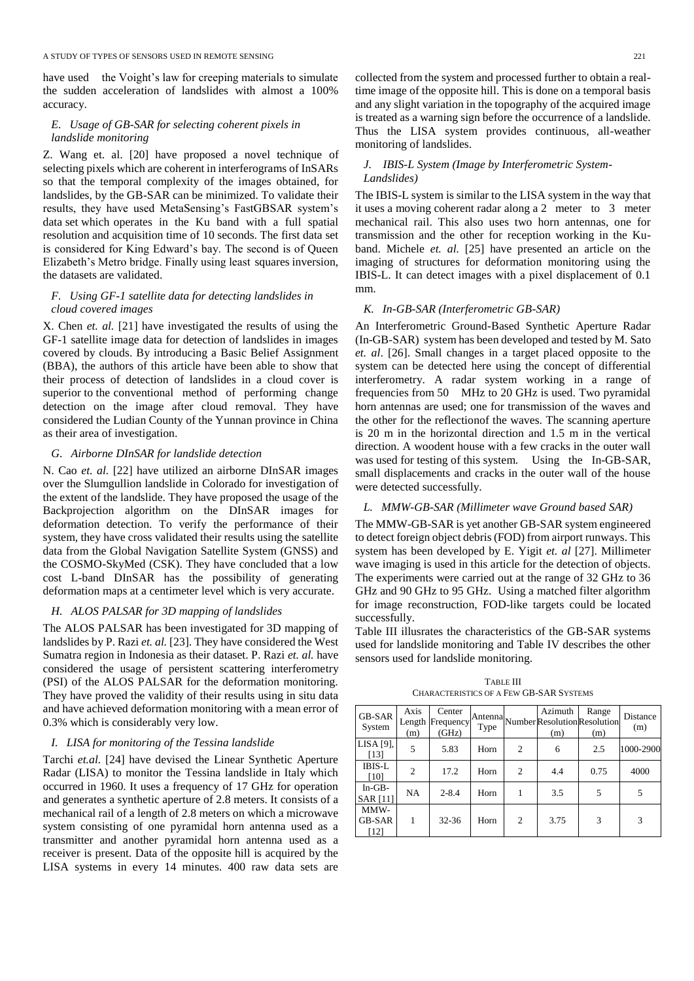have used the Voight's law for creeping materials to simulate the sudden acceleration of landslides with almost a 100% accuracy.

# *E. Usage of GB-SAR for selecting coherent pixels in landslide monitoring*

Z. Wang et. al. [20] have proposed a novel technique of selecting pixels which are coherent in interferograms of InSARs so that the temporal complexity of the images obtained, for landslides, by the GB-SAR can be minimized. To validate their results, they have used MetaSensing's FastGBSAR system's data set which operates in the Ku band with a full spatial resolution and acquisition time of 10 seconds. The first data set is considered for King Edward's bay. The second is of Queen Elizabeth's Metro bridge. Finally using least squares inversion, the datasets are validated.

# *F. Using GF-1 satellite data for detecting landslides in cloud covered images*

X. Chen *et. al.* [21] have investigated the results of using the GF-1 satellite image data for detection of landslides in images covered by clouds. By introducing a Basic Belief Assignment (BBA), the authors of this article have been able to show that their process of detection of landslides in a cloud cover is superior to the conventional method of performing change detection on the image after cloud removal. They have considered the Ludian County of the Yunnan province in China as their area of investigation.

## *G. Airborne DInSAR for landslide detection*

N. Cao *et. al.* [22] have utilized an airborne DInSAR images over the Slumgullion landslide in Colorado for investigation of the extent of the landslide. They have proposed the usage of the Backprojection algorithm on the DInSAR images for deformation detection. To verify the performance of their system, they have cross validated their results using the satellite data from the Global Navigation Satellite System (GNSS) and the COSMO-SkyMed (CSK). They have concluded that a low cost L-band DInSAR has the possibility of generating deformation maps at a centimeter level which is very accurate.

# *H. ALOS PALSAR for 3D mapping of landslides*

The ALOS PALSAR has been investigated for 3D mapping of landslides by P. Razi *et. al.* [23]. They have considered the West Sumatra region in Indonesia as their dataset. P. Razi *et. al.* have considered the usage of persistent scattering interferometry (PSI) of the ALOS PALSAR for the deformation monitoring. They have proved the validity of their results using in situ data and have achieved deformation monitoring with a mean error of 0.3% which is considerably very low.

# *I. LISA for monitoring of the Tessina landslide*

Tarchi *et.al.* [24] have devised the Linear Synthetic Aperture Radar (LISA) to monitor the Tessina landslide in Italy which occurred in 1960. It uses a frequency of 17 GHz for operation and generates a synthetic aperture of 2.8 meters. It consists of a mechanical rail of a length of 2.8 meters on which a microwave system consisting of one pyramidal horn antenna used as a transmitter and another pyramidal horn antenna used as a receiver is present. Data of the opposite hill is acquired by the LISA systems in every 14 minutes. 400 raw data sets are collected from the system and processed further to obtain a realtime image of the opposite hill. This is done on a temporal basis and any slight variation in the topography of the acquired image is treated as a warning sign before the occurrence of a landslide. Thus the LISA system provides continuous, all-weather monitoring of landslides.

# *J. IBIS-L System (Image by Interferometric System-Landslides)*

The IBIS-L system is similar to the LISA system in the way that it uses a moving coherent radar along a 2 meter to 3 meter mechanical rail. This also uses two horn antennas, one for transmission and the other for reception working in the Kuband. Michele *et. al.* [25] have presented an article on the imaging of structures for deformation monitoring using the IBIS-L. It can detect images with a pixel displacement of 0.1 mm.

#### *K. In-GB-SAR (Interferometric GB-SAR)*

An Interferometric Ground-Based Synthetic Aperture Radar (In-GB-SAR) system has been developed and tested by M. Sato *et. al*. [26]. Small changes in a target placed opposite to the system can be detected here using the concept of differential interferometry. A radar system working in a range of frequencies from 50 MHz to 20 GHz is used. Two pyramidal horn antennas are used; one for transmission of the waves and the other for the reflectionof the waves. The scanning aperture is 20 m in the horizontal direction and 1.5 m in the vertical direction. A woodent house with a few cracks in the outer wall was used for testing of this system. Using the In-GB-SAR, small displacements and cracks in the outer wall of the house were detected successfully.

## *L. MMW-GB-SAR (Millimeter wave Ground based SAR)*

The MMW-GB-SAR is yet another GB-SAR system engineered to detect foreign object debris (FOD) from airport runways. This system has been developed by E. Yigit *et. al* [27]. Millimeter wave imaging is used in this article for the detection of objects. The experiments were carried out at the range of 32 GHz to 36 GHz and 90 GHz to 95 GHz. Using a matched filter algorithm for image reconstruction, FOD-like targets could be located successfully.

Table III illusrates the characteristics of the GB-SAR systems used for landslide monitoring and Table IV describes the other sensors used for landslide monitoring.

TABLE III CHARACTERISTICS OF A FEW GB-SAR SYSTEMS

| <b>GB-SAR</b><br>System       | Axis<br>Length<br>(m) | Center<br>Frequency<br>(GHz) | Type |                | Azimuth<br>Antenna Number Resolution Resolution<br>(m) | Range<br>(m) | Distance<br>(m) |
|-------------------------------|-----------------------|------------------------------|------|----------------|--------------------------------------------------------|--------------|-----------------|
| $LISA$ [9],<br>$[13]$         | 5                     | 5.83                         | Horn | $\overline{c}$ | 6                                                      | 2.5          | 1000-2900       |
| <b>IBIS-L</b><br>[10]         | 2                     | 17.2                         | Horn | $\overline{c}$ | 4.4                                                    | 0.75         | 4000            |
| $In-GB-$<br><b>SAR [11]</b>   | <b>NA</b>             | $2 - 8.4$                    | Horn |                | 3.5                                                    | 5            | 5               |
| MMW-<br><b>GB-SAR</b><br>[12] | 1                     | $32 - 36$                    | Horn | $\overline{c}$ | 3.75                                                   | 3            | 3               |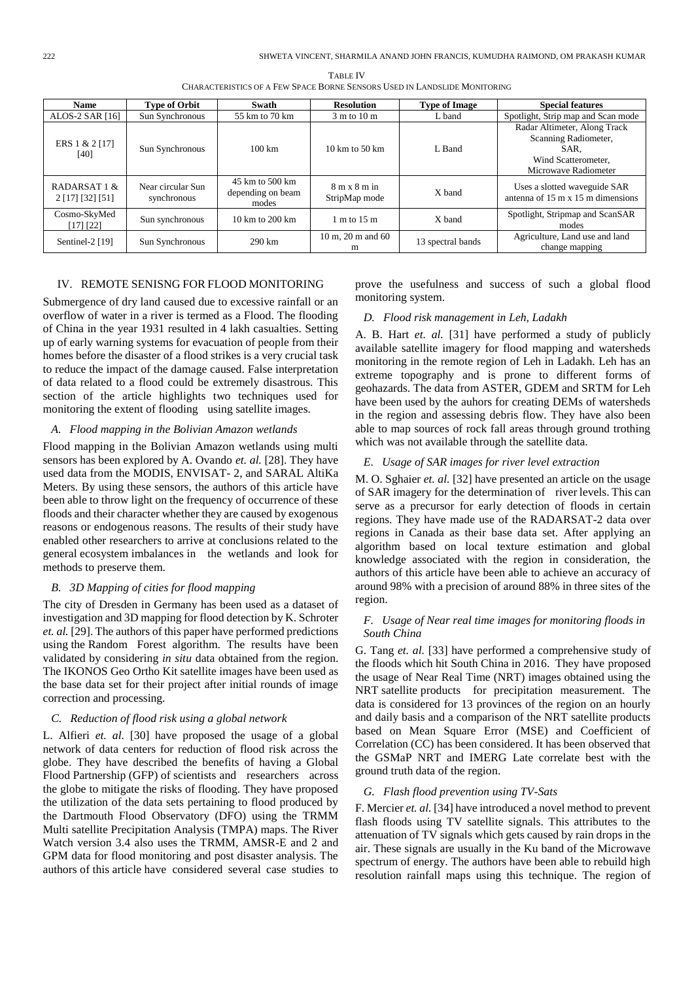| <b>Name</b>                      | <b>Type of Orbit</b>             | Swath                                         | <b>Type of Image</b><br><b>Resolution</b>               |                   | <b>Special features</b>                                                                                     |  |
|----------------------------------|----------------------------------|-----------------------------------------------|---------------------------------------------------------|-------------------|-------------------------------------------------------------------------------------------------------------|--|
| ALOS-2 SAR [16]                  | Sun Synchronous                  | 55 km to 70 km                                | $3 \text{ m}$ to $10 \text{ m}$                         | L band            | Spotlight, Strip map and Scan mode                                                                          |  |
| ERS 1 & 2 [17]<br>[40]           | Sun Synchronous                  | $100 \text{ km}$                              | $10 \text{ km}$ to $50 \text{ km}$                      | L Band            | Radar Altimeter, Along Track<br>Scanning Radiometer,<br>SAR.<br>Wind Scatterometer.<br>Microwave Radiometer |  |
| RADARSAT 1 &<br>2 [17] [32] [51] | Near circular Sun<br>synchronous | 45 km to 500 km<br>depending on beam<br>modes | $8 \text{ m} \times 8 \text{ m}$ in<br>StripMap mode    |                   | Uses a slotted waveguide SAR<br>antenna of $15 \text{ m} \times 15 \text{ m}$ dimensions                    |  |
| Cosmo-SkyMed<br>[17] [22]        | Sun synchronous                  | $10 \text{ km}$ to $200 \text{ km}$           | 1 m to 15 m                                             | X band            | Spotlight, Stripmap and ScanSAR<br>modes                                                                    |  |
| Sentinel-2 [19]                  | Sun Synchronous                  | $290 \text{ km}$                              | $10 \text{ m}$ , $20 \text{ m}$ and $60 \text{ m}$<br>m | 13 spectral bands | Agriculture, Land use and land<br>change mapping                                                            |  |

TABLE IV CHARACTERISTICS OF A FEW SPACE BORNE SENSORS USED IN LANDSLIDE MONITORING

# IV. REMOTE SENISNG FOR FLOOD MONITORING

Submergence of dry land caused due to excessive rainfall or an overflow of water in a river is termed as a Flood. The flooding of China in the year 1931 resulted in 4 lakh casualties. Setting up of early warning systems for evacuation of people from their homes before the disaster of a flood strikes is a very crucial task to reduce the impact of the damage caused. False interpretation of data related to a flood could be extremely disastrous. This section of the article highlights two techniques used for monitoring the extent of flooding using satellite images.

## *A. Flood mapping in the Bolivian Amazon wetlands*

Flood mapping in the Bolivian Amazon wetlands using multi sensors has been explored by A. Ovando *et. al.* [28]. They have used data from the MODIS, ENVISAT- 2, and SARAL AltiKa Meters. By using these sensors, the authors of this article have been able to throw light on the frequency of occurrence of these floods and their character whether they are caused by exogenous reasons or endogenous reasons. The results of their study have enabled other researchers to arrive at conclusions related to the general ecosystem imbalances in the wetlands and look for methods to preserve them.

#### *B. 3D Mapping of cities for flood mapping*

The city of Dresden in Germany has been used as a dataset of investigation and 3D mapping for flood detection by K. Schroter *et. al.* [29]. The authors of this paper have performed predictions using the Random Forest algorithm. The results have been validated by considering *in situ* data obtained from the region. The IKONOS Geo Ortho Kit satellite images have been used as the base data set for their project after initial rounds of image correction and processing.

# *C. Reduction of flood risk using a global network*

L. Alfieri *et. al.* [30] have proposed the usage of a global network of data centers for reduction of flood risk across the globe. They have described the benefits of having a Global Flood Partnership (GFP) of scientists and researchers across the globe to mitigate the risks of flooding. They have proposed the utilization of the data sets pertaining to flood produced by the Dartmouth Flood Observatory (DFO) using the TRMM Multi satellite Precipitation Analysis (TMPA) maps. The River Watch version 3.4 also uses the TRMM, AMSR-E and 2 and GPM data for flood monitoring and post disaster analysis. The authors of this article have considered several case studies to prove the usefulness and success of such a global flood monitoring system.

# *D. Flood risk management in Leh, Ladakh*

A. B. Hart *et. al.* [31] have performed a study of publicly available satellite imagery for flood mapping and watersheds monitoring in the remote region of Leh in Ladakh. Leh has an extreme topography and is prone to different forms of geohazards. The data from ASTER, GDEM and SRTM for Leh have been used by the auhors for creating DEMs of watersheds in the region and assessing debris flow. They have also been able to map sources of rock fall areas through ground trothing which was not available through the satellite data.

#### *E. Usage of SAR images for river level extraction*

M. O. Sghaier *et. al.* [32] have presented an article on the usage of SAR imagery for the determination of river levels. This can serve as a precursor for early detection of floods in certain regions. They have made use of the RADARSAT-2 data over regions in Canada as their base data set. After applying an algorithm based on local texture estimation and global knowledge associated with the region in consideration, the authors of this article have been able to achieve an accuracy of around 98% with a precision of around 88% in three sites of the region.

# *F. Usage of Near real time images for monitoring floods in South China*

G. Tang *et. al.* [33] have performed a comprehensive study of the floods which hit South China in 2016. They have proposed the usage of Near Real Time (NRT) images obtained using the NRT satellite products for precipitation measurement. The data is considered for 13 provinces of the region on an hourly and daily basis and a comparison of the NRT satellite products based on Mean Square Error (MSE) and Coefficient of Correlation (CC) has been considered. It has been observed that the GSMaP NRT and IMERG Late correlate best with the ground truth data of the region.

## *G. Flash flood prevention using TV-Sats*

F. Mercier *et. al.* [34] have introduced a novel method to prevent flash floods using TV satellite signals. This attributes to the attenuation of TV signals which gets caused by rain drops in the air. These signals are usually in the Ku band of the Microwave spectrum of energy. The authors have been able to rebuild high resolution rainfall maps using this technique. The region of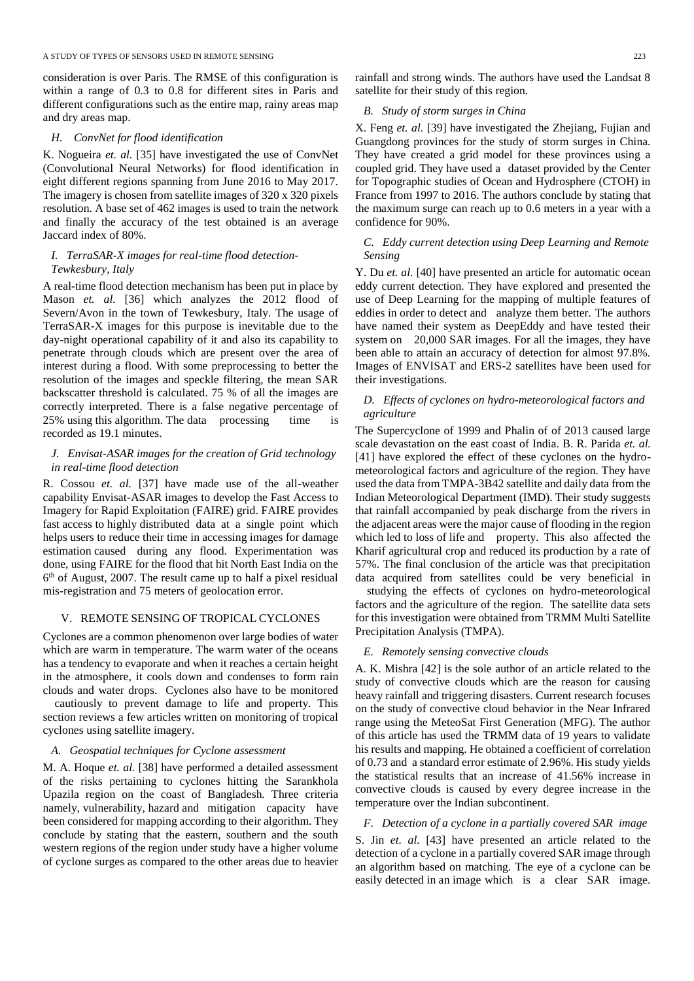consideration is over Paris. The RMSE of this configuration is within a range of 0.3 to 0.8 for different sites in Paris and different configurations such as the entire map, rainy areas map and dry areas map.

## *H. ConvNet for flood identification*

K. Nogueira *et. al.* [35] have investigated the use of ConvNet (Convolutional Neural Networks) for flood identification in eight different regions spanning from June 2016 to May 2017. The imagery is chosen from satellite images of 320 x 320 pixels resolution. A base set of 462 images is used to train the network and finally the accuracy of the test obtained is an average Jaccard index of 80%.

# *I. TerraSAR-X images for real-time flood detection-Tewkesbury, Italy*

A real-time flood detection mechanism has been put in place by Mason *et. al.* [36] which analyzes the 2012 flood of Severn/Avon in the town of Tewkesbury, Italy. The usage of TerraSAR-X images for this purpose is inevitable due to the day-night operational capability of it and also its capability to penetrate through clouds which are present over the area of interest during a flood. With some preprocessing to better the resolution of the images and speckle filtering, the mean SAR backscatter threshold is calculated. 75 % of all the images are correctly interpreted. There is a false negative percentage of 25% using this algorithm. The data processing time is recorded as 19.1 minutes.

# *J. Envisat-ASAR images for the creation of Grid technology in real-time flood detection*

R. Cossou *et. al.* [37] have made use of the all-weather capability Envisat-ASAR images to develop the Fast Access to Imagery for Rapid Exploitation (FAIRE) grid. FAIRE provides fast access to highly distributed data at a single point which helps users to reduce their time in accessing images for damage estimation caused during any flood. Experimentation was done, using FAIRE for the flood that hit North East India on the 6<sup>th</sup> of August, 2007. The result came up to half a pixel residual mis-registration and 75 meters of geolocation error.

# V. REMOTE SENSING OF TROPICAL CYCLONES

Cyclones are a common phenomenon over large bodies of water which are warm in temperature. The warm water of the oceans has a tendency to evaporate and when it reaches a certain height in the atmosphere, it cools down and condenses to form rain clouds and water drops. Cyclones also have to be monitored

cautiously to prevent damage to life and property. This section reviews a few articles written on monitoring of tropical cyclones using satellite imagery.

#### *A. Geospatial techniques for Cyclone assessment*

M. A. Hoque *et. al.* [38] have performed a detailed assessment of the risks pertaining to cyclones hitting the Sarankhola Upazila region on the coast of Bangladesh. Three criteria namely, vulnerability, hazard and mitigation capacity have been considered for mapping according to their algorithm. They conclude by stating that the eastern, southern and the south western regions of the region under study have a higher volume of cyclone surges as compared to the other areas due to heavier rainfall and strong winds. The authors have used the Landsat 8 satellite for their study of this region.

## *B. Study of storm surges in China*

X. Feng *et. al.* [39] have investigated the Zhejiang, Fujian and Guangdong provinces for the study of storm surges in China. They have created a grid model for these provinces using a coupled grid. They have used a dataset provided by the Center for Topographic studies of Ocean and Hydrosphere (CTOH) in France from 1997 to 2016. The authors conclude by stating that the maximum surge can reach up to 0.6 meters in a year with a confidence for 90%.

# *C. Eddy current detection using Deep Learning and Remote Sensing*

Y. Du *et. al.* [40] have presented an article for automatic ocean eddy current detection. They have explored and presented the use of Deep Learning for the mapping of multiple features of eddies in order to detect and analyze them better. The authors have named their system as DeepEddy and have tested their system on 20,000 SAR images. For all the images, they have been able to attain an accuracy of detection for almost 97.8%. Images of ENVISAT and ERS-2 satellites have been used for their investigations.

# *D. Effects of cyclones on hydro-meteorological factors and agriculture*

The Supercyclone of 1999 and Phalin of of 2013 caused large scale devastation on the east coast of India. B. R. Parida *et. al.* [41] have explored the effect of these cyclones on the hydrometeorological factors and agriculture of the region. They have used the data from TMPA-3B42 satellite and daily data from the Indian Meteorological Department (IMD). Their study suggests that rainfall accompanied by peak discharge from the rivers in the adjacent areas were the major cause of flooding in the region which led to loss of life and property. This also affected the Kharif agricultural crop and reduced its production by a rate of 57%. The final conclusion of the article was that precipitation data acquired from satellites could be very beneficial in

studying the effects of cyclones on hydro-meteorological factors and the agriculture of the region. The satellite data sets for this investigation were obtained from TRMM Multi Satellite Precipitation Analysis (TMPA).

# *E. Remotely sensing convective clouds*

A. K. Mishra [42] is the sole author of an article related to the study of convective clouds which are the reason for causing heavy rainfall and triggering disasters. Current research focuses on the study of convective cloud behavior in the Near Infrared range using the MeteoSat First Generation (MFG). The author of this article has used the TRMM data of 19 years to validate his results and mapping. He obtained a coefficient of correlation of 0.73 and a standard error estimate of 2.96%. His study yields the statistical results that an increase of 41.56% increase in convective clouds is caused by every degree increase in the temperature over the Indian subcontinent.

*F. Detection of a cyclone in a partially covered SAR image*  S. Jin *et. al.* [43] have presented an article related to the detection of a cyclone in a partially covered SAR image through an algorithm based on matching. The eye of a cyclone can be easily detected in an image which is a clear SAR image.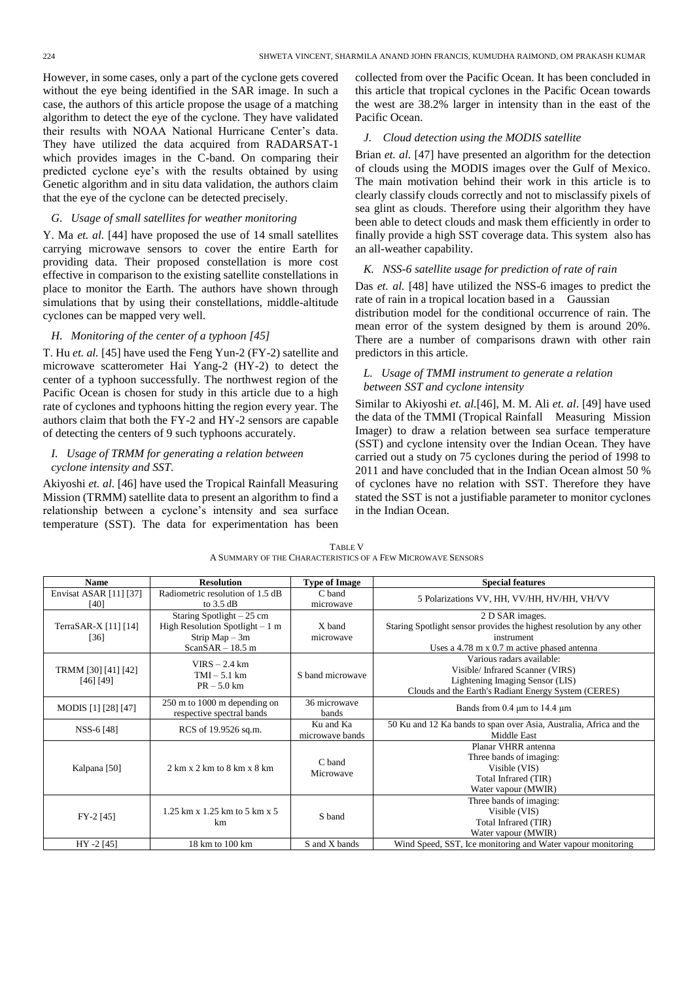However, in some cases, only a part of the cyclone gets covered without the eye being identified in the SAR image. In such a case, the authors of this article propose the usage of a matching algorithm to detect the eye of the cyclone. They have validated their results with NOAA National Hurricane Center's data. They have utilized the data acquired from RADARSAT-1 which provides images in the C-band. On comparing their predicted cyclone eye's with the results obtained by using Genetic algorithm and in situ data validation, the authors claim that the eye of the cyclone can be detected precisely.

### *G. Usage of small satellites for weather monitoring*

Y. Ma *et. al.* [44] have proposed the use of 14 small satellites carrying microwave sensors to cover the entire Earth for providing data. Their proposed constellation is more cost effective in comparison to the existing satellite constellations in place to monitor the Earth. The authors have shown through simulations that by using their constellations, middle-altitude cyclones can be mapped very well.

# *H. Monitoring of the center of a typhoon [45]*

T. Hu *et. al.* [45] have used the Feng Yun-2 (FY-2) satellite and microwave scatterometer Hai Yang-2 (HY-2) to detect the center of a typhoon successfully. The northwest region of the Pacific Ocean is chosen for study in this article due to a high rate of cyclones and typhoons hitting the region every year. The authors claim that both the FY-2 and HY-2 sensors are capable of detecting the centers of 9 such typhoons accurately.

# *I. Usage of TRMM for generating a relation between cyclone intensity and SST.*

Akiyoshi *et. al.* [46] have used the Tropical Rainfall Measuring Mission (TRMM) satellite data to present an algorithm to find a relationship between a cyclone's intensity and sea surface temperature (SST). The data for experimentation has been collected from over the Pacific Ocean. It has been concluded in this article that tropical cyclones in the Pacific Ocean towards the west are 38.2% larger in intensity than in the east of the Pacific Ocean.

# *J. Cloud detection using the MODIS satellite*

Brian *et. al.* [47] have presented an algorithm for the detection of clouds using the MODIS images over the Gulf of Mexico. The main motivation behind their work in this article is to clearly classify clouds correctly and not to misclassify pixels of sea glint as clouds. Therefore using their algorithm they have been able to detect clouds and mask them efficiently in order to finally provide a high SST coverage data. This system also has an all-weather capability.

## *K. NSS-6 satellite usage for prediction of rate of rain*

Das *et. al.* [48] have utilized the NSS-6 images to predict the rate of rain in a tropical location based in a Gaussian distribution model for the conditional occurrence of rain. The mean error of the system designed by them is around 20%. There are a number of comparisons drawn with other rain predictors in this article.

# *L. Usage of TMMI instrument to generate a relation between SST and cyclone intensity*

Similar to Akiyoshi *et. al.*[46], M. M. Ali *et. al*. [49] have used the data of the TMMI (Tropical Rainfall Measuring Mission Imager) to draw a relation between sea surface temperature (SST) and cyclone intensity over the Indian Ocean. They have carried out a study on 75 cyclones during the period of 1998 to 2011 and have concluded that in the Indian Ocean almost 50 % of cyclones have no relation with SST. Therefore they have stated the SST is not a justifiable parameter to monitor cyclones in the Indian Ocean.

| <b>Name</b>                      | <b>Resolution</b>                                                                                        | <b>Type of Image</b>         | <b>Special features</b>                                                                                                                                                      |
|----------------------------------|----------------------------------------------------------------------------------------------------------|------------------------------|------------------------------------------------------------------------------------------------------------------------------------------------------------------------------|
| Envisat ASAR [11] [37]<br>[40]   | Radiometric resolution of 1.5 dB<br>to $3.5$ dB                                                          | C band<br>microwave          | 5 Polarizations VV, HH, VV/HH, HV/HH, VH/VV                                                                                                                                  |
| TerraSAR-X [11] [14]<br>[36]     | Staring Spotlight $-25$ cm<br>High Resolution Spotlight $-1$ m<br>Strip $Map - 3m$<br>$ScanSAR - 18.5$ m | X band<br>microwave          | 2 D SAR images.<br>Staring Spotlight sensor provides the highest resolution by any other<br>instrument<br>Uses a $4.78 \text{ m} \times 0.7 \text{ m}$ active phased antenna |
| TRMM [30] [41] [42]<br>[46] [49] | $VIRS - 2.4 km$<br>$TMI - 5.1 km$<br>$PR - 5.0$ km                                                       | S band microwave             | Various radars available:<br>Visible/ Infrared Scanner (VIRS)<br>Lightening Imaging Sensor (LIS)<br>Clouds and the Earth's Radiant Energy System (CERES)                     |
| MODIS [1] [28] [47]              | 250 m to 1000 m depending on<br>respective spectral bands                                                | 36 microwave<br>bands        | Bands from 0.4 µm to 14.4 µm                                                                                                                                                 |
| NSS-6 [48]                       | RCS of 19.9526 sq.m.                                                                                     | Ku and Ka<br>microwave bands | 50 Ku and 12 Ka bands to span over Asia, Australia, Africa and the<br>Middle East                                                                                            |
| Kalpana [50]                     | $2 \text{ km } x 2 \text{ km}$ to $8 \text{ km } x 8 \text{ km}$                                         | C band<br>Microwave          | Planar VHRR antenna<br>Three bands of imaging:<br>Visible (VIS)<br>Total Infrared (TIR)<br>Water vapour (MWIR)                                                               |
| $FY-2[45]$                       | 1.25 km x 1.25 km to 5 km x 5<br>km                                                                      | S band                       | Three bands of imaging:<br>Visible (VIS)<br>Total Infrared (TIR)<br>Water vapour (MWIR)                                                                                      |
| HY -2 [45]                       | 18 km to 100 km                                                                                          | S and X bands                | Wind Speed, SST, Ice monitoring and Water vapour monitoring                                                                                                                  |

TABLE V A SUMMARY OF THE CHARACTERISTICS OF A FEW MICROWAVE SENSORS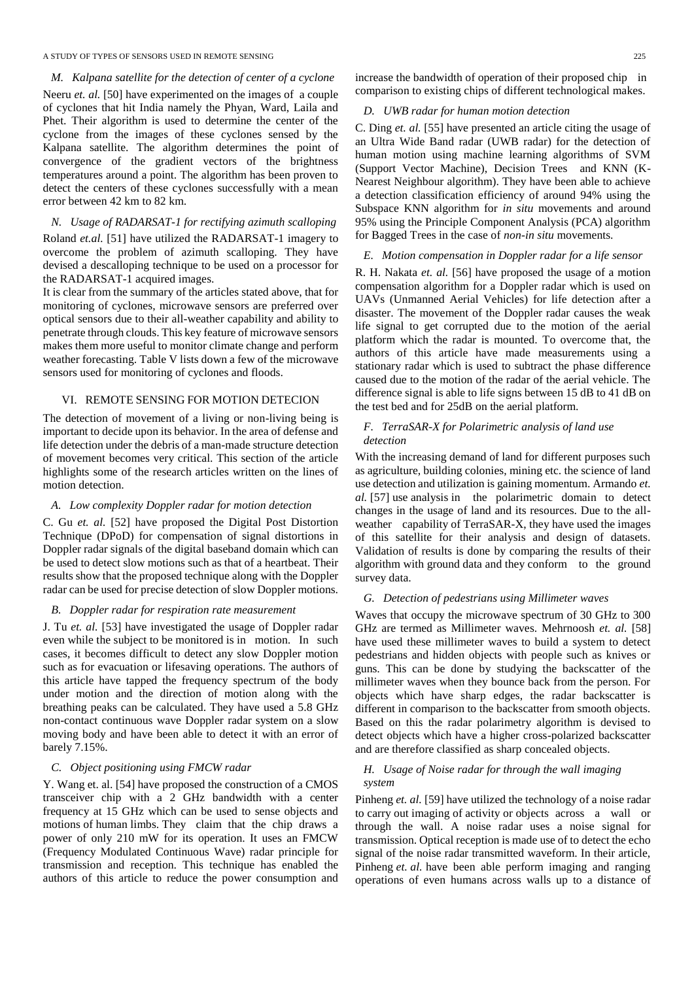## A STUDY OF TYPES OF SENSORS USED IN REMOTE SENSING 225

*M. Kalpana satellite for the detection of center of a cyclone* Neeru *et. al.* [50] have experimented on the images of a couple of cyclones that hit India namely the Phyan, Ward, Laila and Phet. Their algorithm is used to determine the center of the cyclone from the images of these cyclones sensed by the Kalpana satellite. The algorithm determines the point of convergence of the gradient vectors of the brightness temperatures around a point. The algorithm has been proven to detect the centers of these cyclones successfully with a mean error between 42 km to 82 km.

# *N. Usage of RADARSAT-1 for rectifying azimuth scalloping*

Roland *et.al.* [51] have utilized the RADARSAT-1 imagery to overcome the problem of azimuth scalloping. They have devised a descalloping technique to be used on a processor for the RADARSAT-1 acquired images.

It is clear from the summary of the articles stated above, that for monitoring of cyclones, microwave sensors are preferred over optical sensors due to their all-weather capability and ability to penetrate through clouds. This key feature of microwave sensors makes them more useful to monitor climate change and perform weather forecasting. Table V lists down a few of the microwave sensors used for monitoring of cyclones and floods.

## VI. REMOTE SENSING FOR MOTION DETECION

The detection of movement of a living or non-living being is important to decide upon its behavior. In the area of defense and life detection under the debris of a man-made structure detection of movement becomes very critical. This section of the article highlights some of the research articles written on the lines of motion detection.

## *A. Low complexity Doppler radar for motion detection*

C. Gu *et. al.* [52] have proposed the Digital Post Distortion Technique (DPoD) for compensation of signal distortions in Doppler radar signals of the digital baseband domain which can be used to detect slow motions such as that of a heartbeat. Their results show that the proposed technique along with the Doppler radar can be used for precise detection of slow Doppler motions.

## *B. Doppler radar for respiration rate measurement*

J. Tu *et. al.* [53] have investigated the usage of Doppler radar even while the subject to be monitored is in motion. In such cases, it becomes difficult to detect any slow Doppler motion such as for evacuation or lifesaving operations. The authors of this article have tapped the frequency spectrum of the body under motion and the direction of motion along with the breathing peaks can be calculated. They have used a 5.8 GHz non-contact continuous wave Doppler radar system on a slow moving body and have been able to detect it with an error of barely 7.15%.

#### *C. Object positioning using FMCW radar*

Y. Wang et. al. [54] have proposed the construction of a CMOS transceiver chip with a 2 GHz bandwidth with a center frequency at 15 GHz which can be used to sense objects and motions of human limbs. They claim that the chip draws a power of only 210 mW for its operation. It uses an FMCW (Frequency Modulated Continuous Wave) radar principle for transmission and reception. This technique has enabled the authors of this article to reduce the power consumption and increase the bandwidth of operation of their proposed chip in comparison to existing chips of different technological makes.

# *D. UWB radar for human motion detection*

C. Ding *et. al.* [55] have presented an article citing the usage of an Ultra Wide Band radar (UWB radar) for the detection of human motion using machine learning algorithms of SVM (Support Vector Machine), Decision Trees and KNN (K-Nearest Neighbour algorithm). They have been able to achieve a detection classification efficiency of around 94% using the Subspace KNN algorithm for *in situ* movements and around 95% using the Principle Component Analysis (PCA) algorithm for Bagged Trees in the case of *non-in situ* movements.

## *E. Motion compensation in Doppler radar for a life sensor*

R. H. Nakata *et. al.* [56] have proposed the usage of a motion compensation algorithm for a Doppler radar which is used on UAVs (Unmanned Aerial Vehicles) for life detection after a disaster. The movement of the Doppler radar causes the weak life signal to get corrupted due to the motion of the aerial platform which the radar is mounted. To overcome that, the authors of this article have made measurements using a stationary radar which is used to subtract the phase difference caused due to the motion of the radar of the aerial vehicle. The difference signal is able to life signs between 15 dB to 41 dB on the test bed and for 25dB on the aerial platform.

# *F. TerraSAR-X for Polarimetric analysis of land use detection*

With the increasing demand of land for different purposes such as agriculture, building colonies, mining etc. the science of land use detection and utilization is gaining momentum. Armando *et. al.* [57] use analysis in the polarimetric domain to detect changes in the usage of land and its resources. Due to the allweather capability of TerraSAR-X, they have used the images of this satellite for their analysis and design of datasets. Validation of results is done by comparing the results of their algorithm with ground data and they conform to the ground survey data.

## *G. Detection of pedestrians using Millimeter waves*

Waves that occupy the microwave spectrum of 30 GHz to 300 GHz are termed as Millimeter waves. Mehrnoosh *et. al.* [58] have used these millimeter waves to build a system to detect pedestrians and hidden objects with people such as knives or guns. This can be done by studying the backscatter of the millimeter waves when they bounce back from the person. For objects which have sharp edges, the radar backscatter is different in comparison to the backscatter from smooth objects. Based on this the radar polarimetry algorithm is devised to detect objects which have a higher cross-polarized backscatter and are therefore classified as sharp concealed objects.

# *H. Usage of Noise radar for through the wall imaging system*

Pinheng *et. al.* [59] have utilized the technology of a noise radar to carry out imaging of activity or objects across a wall or through the wall. A noise radar uses a noise signal for transmission. Optical reception is made use of to detect the echo signal of the noise radar transmitted waveform. In their article, Pinheng *et. al.* have been able perform imaging and ranging operations of even humans across walls up to a distance of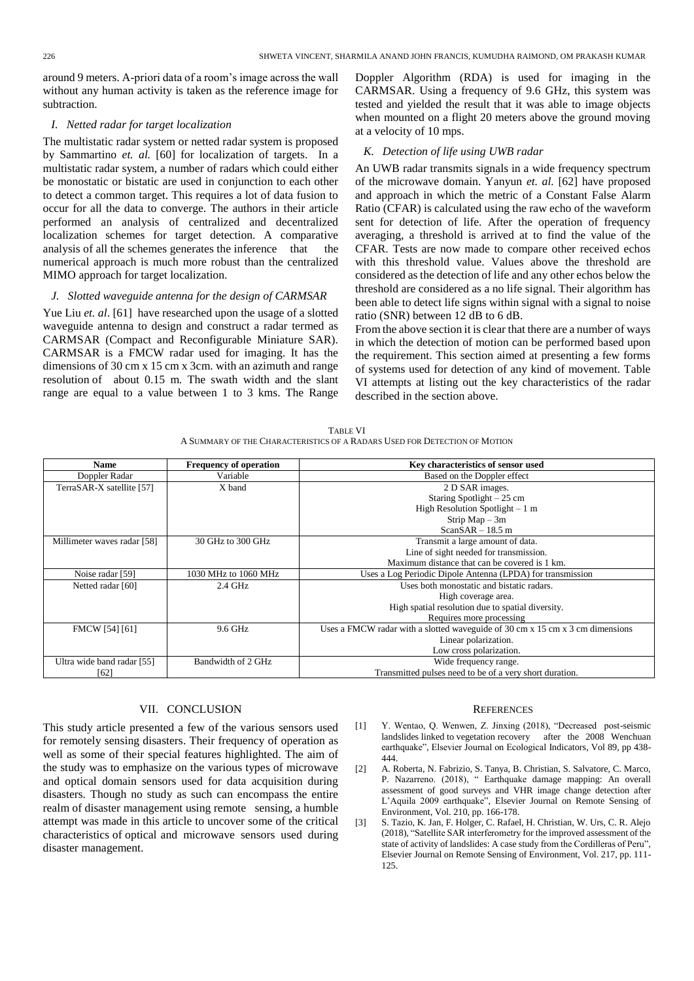around 9 meters. A-priori data of a room's image across the wall without any human activity is taken as the reference image for subtraction.

## *I. Netted radar for target localization*

The multistatic radar system or netted radar system is proposed by Sammartino *et. al.* [60] for localization of targets. In a multistatic radar system, a number of radars which could either be monostatic or bistatic are used in conjunction to each other to detect a common target. This requires a lot of data fusion to occur for all the data to converge. The authors in their article performed an analysis of centralized and decentralized localization schemes for target detection. A comparative analysis of all the schemes generates the inference that the numerical approach is much more robust than the centralized MIMO approach for target localization.

## *J. Slotted waveguide antenna for the design of CARMSAR*

Yue Liu *et. al*. [61] have researched upon the usage of a slotted waveguide antenna to design and construct a radar termed as CARMSAR (Compact and Reconfigurable Miniature SAR). CARMSAR is a FMCW radar used for imaging. It has the dimensions of 30 cm x 15 cm x 3cm. with an azimuth and range resolution of about 0.15 m. The swath width and the slant range are equal to a value between 1 to 3 kms. The Range Doppler Algorithm (RDA) is used for imaging in the CARMSAR. Using a frequency of 9.6 GHz, this system was tested and yielded the result that it was able to image objects when mounted on a flight 20 meters above the ground moving at a velocity of 10 mps.

# *K. Detection of life using UWB radar*

An UWB radar transmits signals in a wide frequency spectrum of the microwave domain. Yanyun *et. al.* [62] have proposed and approach in which the metric of a Constant False Alarm Ratio (CFAR) is calculated using the raw echo of the waveform sent for detection of life. After the operation of frequency averaging, a threshold is arrived at to find the value of the CFAR. Tests are now made to compare other received echos with this threshold value. Values above the threshold are considered as the detection of life and any other echos below the threshold are considered as a no life signal. Their algorithm has been able to detect life signs within signal with a signal to noise ratio (SNR) between 12 dB to 6 dB.

From the above section it is clear that there are a number of ways in which the detection of motion can be performed based upon the requirement. This section aimed at presenting a few forms of systems used for detection of any kind of movement. Table VI attempts at listing out the key characteristics of the radar described in the section above.

| TABLE VI                                                                  |  |
|---------------------------------------------------------------------------|--|
| A SUMMARY OF THE CHARACTERISTICS OF A RADARS USED FOR DETECTION OF MOTION |  |

| <b>Name</b>                 | <b>Frequency of operation</b> | Key characteristics of sensor used                                            |
|-----------------------------|-------------------------------|-------------------------------------------------------------------------------|
|                             |                               |                                                                               |
| Doppler Radar               | Variable                      | Based on the Doppler effect                                                   |
| TerraSAR-X satellite [57]   | X band                        | 2 D SAR images.                                                               |
|                             |                               | Staring Spotlight $-25$ cm                                                    |
|                             |                               | High Resolution Spotlight $-1$ m                                              |
|                             |                               | Strip $Map - 3m$                                                              |
|                             |                               | $ScanSAR - 18.5$ m                                                            |
| Millimeter waves radar [58] | 30 GHz to 300 GHz             | Transmit a large amount of data.                                              |
|                             |                               | Line of sight needed for transmission.                                        |
|                             |                               | Maximum distance that can be covered is 1 km.                                 |
| Noise radar [59]            | 1030 MHz to 1060 MHz          | Uses a Log Periodic Dipole Antenna (LPDA) for transmission                    |
| Netted radar [60]           | $2.4$ GHz                     | Uses both monostatic and bistatic radars.                                     |
|                             |                               | High coverage area.                                                           |
|                             |                               | High spatial resolution due to spatial diversity.                             |
|                             |                               | Requires more processing                                                      |
| FMCW [54] [61]              | 9.6 GHz                       | Uses a FMCW radar with a slotted waveguide of 30 cm x 15 cm x 3 cm dimensions |
|                             |                               | Linear polarization.                                                          |
|                             |                               | Low cross polarization.                                                       |
| Ultra wide band radar [55]  | Bandwidth of 2 GHz            | Wide frequency range.                                                         |
| [62]                        |                               | Transmitted pulses need to be of a very short duration.                       |

#### VII. CONCLUSION

This study article presented a few of the various sensors used for remotely sensing disasters. Their frequency of operation as well as some of their special features highlighted. The aim of the study was to emphasize on the various types of microwave and optical domain sensors used for data acquisition during disasters. Though no study as such can encompass the entire realm of disaster management using remote sensing, a humble attempt was made in this article to uncover some of the critical characteristics of optical and microwave sensors used during disaster management.

#### **REFERENCES**

- [1] Y. Wentao, Q. Wenwen, Z. Jinxing (2018), "Decreased post-seismic landslides linked to vegetation recovery after the 2008 Wenchuan earthquake", Elsevier Journal on Ecological Indicators, Vol 89, pp 438- 444.
- [2] A. Roberta, N. Fabrizio, S. Tanya, B. Christian, S. Salvatore, C. Marco, P. Nazarreno. (2018), " Earthquake damage mapping: An overall assessment of good surveys and VHR image change detection after L'Aquila 2009 earthquake", Elsevier Journal on Remote Sensing of Environment, Vol. 210, pp. 166-178.
- [3] S. Tazio, K. Jan, F. Holger, C. Rafael, H. Christian, W. Urs, C. R. Alejo (2018), "Satellite SAR interferometry for the improved assessment of the state of activity of landslides: A case study from the Cordilleras of Peru", Elsevier Journal on Remote Sensing of Environment, Vol. 217, pp. 111- 125.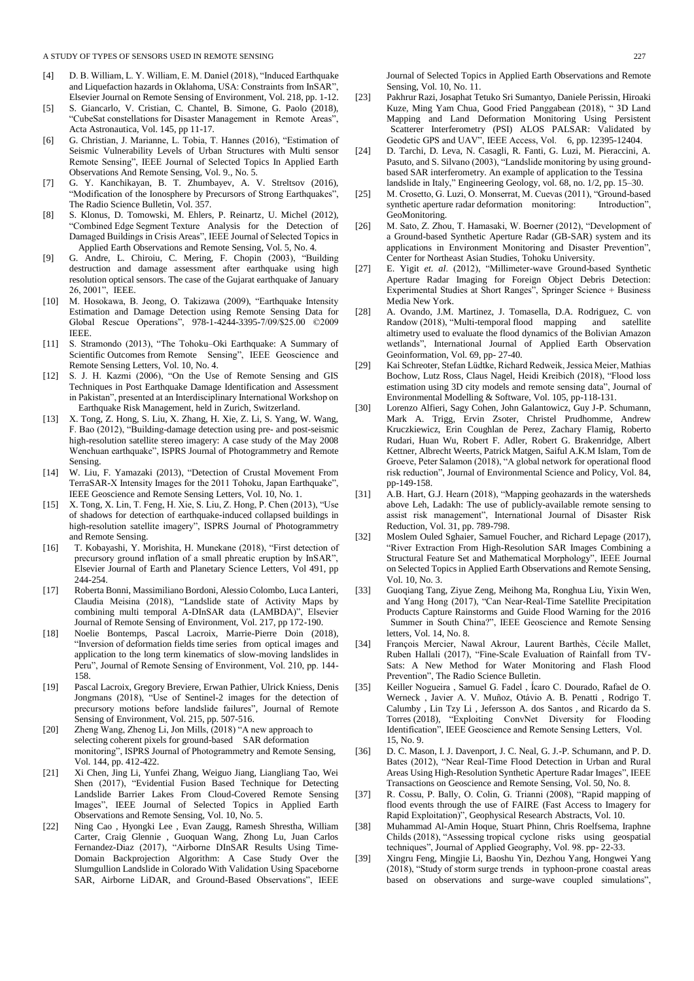#### A STUDY OF TYPES OF SENSORS USED IN REMOTE SENSING 227

- [4] D. B. William, L. Y. William, E. M. Daniel (2018), "Induced Earthquake and Liquefaction hazards in Oklahoma, USA: Constraints from InSAR", Elsevier Journal on Remote Sensing of Environment, Vol. 218, pp. 1-12.
- [5] S. Giancarlo, V. Cristian, C. Chantel, B. Simone, G. Paolo (2018), "CubeSat constellations for Disaster Management in Remote Areas", Acta Astronautica, Vol. 145, pp 11-17.
- [6] G. Christian, J. Marianne, L. Tobia, T. Hannes (2016), "Estimation of Seismic Vulnerability Levels of Urban Structures with Multi sensor Remote Sensing", IEEE Journal of Selected Topics In Applied Earth Observations And Remote Sensing, Vol. 9., No. 5.
- [7] G. Y. Kanchikayan, B. T. Zhumbayev, A. V. Streltsov (2016), "Modification of the Ionosphere by Precursors of Strong Earthquakes", The Radio Science Bulletin, Vol. 357.
- [8] S. Klonus, D. Tomowski, M. Ehlers, P. Reinartz, U. Michel (2012), "Combined Edge Segment Texture Analysis for the Detection of Damaged Buildings in Crisis Areas", IEEE Journal of Selected Topics in Applied Earth Observations and Remote Sensing, Vol. 5, No. 4.
- [9] G. Andre, L. Chiroiu, C. Mering, F. Chopin (2003), "Building destruction and damage assessment after earthquake using high resolution optical sensors. The case of the Gujarat earthquake of January 26, 2001", IEEE.
- [10] M. Hosokawa, B. Jeong, O. Takizawa (2009), "Earthquake Intensity Estimation and Damage Detection using Remote Sensing Data for Global Rescue Operations", 978-1-4244-3395-7/09/\$25.00 ©2009 IEEE.
- [11] S. Stramondo (2013), "The Tohoku–Oki Earthquake: A Summary of Scientific Outcomes from Remote Sensing", IEEE Geoscience and Remote Sensing Letters, Vol. 10, No. 4.
- [12] S. J. H. Kazmi (2006), "On the Use of Remote Sensing and GIS Techniques in Post Earthquake Damage Identification and Assessment in Pakistan", presented at an Interdisciplinary International Workshop on Earthquake Risk Management, held in Zurich, Switzerland.
- [13] X. Tong, Z. Hong, S. Liu, X. Zhang, H. Xie, Z. Li, S. Yang, W. Wang, F. Bao (2012), "Building-damage detection using pre- and post-seismic high-resolution satellite stereo imagery: A case study of the May 2008 Wenchuan earthquake", ISPRS Journal of Photogrammetry and Remote Sensing.
- [14] W. Liu, F. Yamazaki (2013), "Detection of Crustal Movement From TerraSAR-X Intensity Images for the 2011 Tohoku, Japan Earthquake", IEEE Geoscience and Remote Sensing Letters, Vol. 10, No. 1.
- [15] X. Tong, X. Lin, T. Feng, H. Xie, S. Liu, Z. Hong, P. Chen (2013), "Use of shadows for detection of earthquake-induced collapsed buildings in high-resolution satellite imagery", ISPRS Journal of Photogrammetry and Remote Sensing.
- [16] T. Kobayashi, Y. Morishita, H. Munekane (2018), "First detection of precursory ground inflation of a small phreatic eruption by InSAR", Elsevier Journal of Earth and Planetary Science Letters, Vol 491, pp 244-254.
- [17] Roberta Bonni, Massimiliano Bordoni, Alessio Colombo, Luca Lanteri, Claudia Meisina (2018), "Landslide state of Activity Maps by combining multi temporal A-DInSAR data (LAMBDA)", Elsevier Journal of Remote Sensing of Environment, Vol. 217, pp 172-190.
- [18] Noelie Bontemps, Pascal Lacroix, Marrie-Pierre Doin (2018), "Inversion of deformation fields time series from optical images and application to the long term kinematics of slow-moving landslides in Peru", Journal of Remote Sensing of Environment, Vol. 210, pp. 144- 158.
- [19] Pascal Lacroix, Gregory Breviere, Erwan Pathier, Ulrick Kniess, Denis Jongmans (2018), "Use of Sentinel-2 images for the detection of precursory motions before landslide failures", Journal of Remote Sensing of Environment, Vol. 215, pp. 507-516.
- [20] Zheng Wang, Zhenog Li, Jon Mills, (2018) "A new approach to selecting coherent pixels for ground-based SAR deformation monitoring", ISPRS Journal of Photogrammetry and Remote Sensing, Vol. 144, pp. 412-422.
- [21] Xi Chen, Jing Li, Yunfei Zhang, Weiguo Jiang, Liangliang Tao, Wei Shen (2017), "Evidential Fusion Based Technique for Detecting Landslide Barrier Lakes From Cloud-Covered Remote Sensing Images", IEEE Journal of Selected Topics in Applied Earth Observations and Remote Sensing, Vol. 10, No. 5.
- [22] Ning Cao , Hyongki Lee , Evan Zaugg, Ramesh Shrestha, William Carter, Craig Glennie , Guoquan Wang, Zhong Lu, Juan Carlos Fernandez-Diaz (2017), "Airborne DInSAR Results Using Time-Domain Backprojection Algorithm: A Case Study Over the Slumgullion Landslide in Colorado With Validation Using Spaceborne SAR, Airborne LiDAR, and Ground-Based Observations", IEEE

Journal of Selected Topics in Applied Earth Observations and Remote Sensing, Vol. 10, No. 11.

- [23] Pakhrur Razi, Josaphat Tetuko Sri Sumantyo, Daniele Perissin, Hiroaki Kuze, Ming Yam Chua, Good Fried Panggabean (2018), " 3D Land Mapping and Land Deformation Monitoring Using Persistent Scatterer Interferometry (PSI) ALOS PALSAR: Validated by Geodetic GPS and UAV", IEEE Access, Vol. 6, pp. 12395-12404.
- [24] D. Tarchi, D. Leva, N. Casagli, R. Fanti, G. Luzi, M. Pieraccini, A. Pasuto, and S. Silvano (2003), "Landslide monitoring by using groundbased SAR interferometry. An example of application to the Tessina landslide in Italy," Engineering Geology, vol. 68, no. 1/2, pp. 15–30.
- [25] M. Crosetto, G. Luzi, O. Monserrat, M. Cuevas (2011), "Ground-based synthetic aperture radar deformation monitoring: Introduction", GeoMonitoring.
- [26] M. Sato, Z. Zhou, T. Hamasaki, W. Boerner (2012), "Development of a Ground-based Synthetic Aperture Radar (GB-SAR) system and its applications in Environment Monitoring and Disaster Prevention", Center for Northeast Asian Studies, Tohoku University.
- [27] E. Yigit *et. al*. (2012), "Millimeter-wave Ground-based Synthetic Aperture Radar Imaging for Foreign Object Debris Detection: Experimental Studies at Short Ranges", Springer Science + Business Media New York.
- [28] A. Ovando, J.M. Martinez, J. Tomasella, D.A. Rodriguez, C. von Randow (2018), "Multi-temporal flood mapping and satellite altimetry used to evaluate the flood dynamics of the Bolivian Amazon wetlands", International Journal of Applied Earth Observation Geoinformation, Vol. 69, pp- 27-40.
- [29] Kai Schreoter, Stefan Lüdtke, Richard Redweik, Jessica Meier, Mathias Bochow, Lutz Ross, Claus Nagel, Heidi Kreibich (2018), "Flood loss estimation using 3D city models and remote sensing data", Journal of Environmental Modelling & Software, Vol. 105, pp-118-131.
- [30] Lorenzo Alfieri, Sagy Cohen, John Galantowicz, Guy J-P. Schumann, Mark A. Trigg, Ervin Zsoter, Christel Prudhomme, Andrew Kruczkiewicz, Erin Coughlan de Perez, Zachary Flamig, Roberto Rudari, Huan Wu, Robert F. Adler, Robert G. Brakenridge, Albert Kettner, Albrecht Weerts, Patrick Matgen, Saiful A.K.M Islam, Tom de Groeve, Peter Salamon (2018), "A global network for operational flood risk reduction", Journal of Environmental Science and Policy, Vol. 84, pp-149-158.
- [31] A.B. Hart, G.J. Hearn (2018), "Mapping geohazards in the watersheds above Leh, Ladakh: The use of publicly-available remote sensing to assist risk management", International Journal of Disaster Risk Reduction, Vol. 31, pp. 789-798.
- [32] Moslem Ouled Sghaier, Samuel Foucher, and Richard Lepage (2017), "River Extraction From High-Resolution SAR Images Combining a Structural Feature Set and Mathematical Morphology", IEEE Journal on Selected Topics in Applied Earth Observations and Remote Sensing, Vol. 10, No. 3.
- [33] Guoqiang Tang, Ziyue Zeng, Meihong Ma, Ronghua Liu, Yixin Wen, and Yang Hong (2017), "Can Near-Real-Time Satellite Precipitation Products Capture Rainstorms and Guide Flood Warning for the 2016 Summer in South China?", IEEE Geoscience and Remote Sensing letters, Vol. 14, No. 8.
- [34] François Mercier, Nawal Akrour, Laurent Barthès, Cécile Mallet, Ruben Hallali (2017), "Fine-Scale Evaluation of Rainfall from TV-Sats: A New Method for Water Monitoring and Flash Flood Prevention", The Radio Science Bulletin.
- [35] Keiller Nogueira , Samuel G. Fadel , Ícaro C. Dourado, Rafael de O. Werneck , Javier A. V. Muñoz, Otávio A. B. Penatti , Rodrigo T. Calumby , Lin Tzy Li , Jefersson A. dos Santos , and Ricardo da S. Torres (2018), "Exploiting ConvNet Diversity for Flooding Identification", IEEE Geoscience and Remote Sensing Letters, Vol. 15, No. 9.
- [36] D. C. Mason, I. J. Davenport, J. C. Neal, G. J.-P. Schumann, and P. D. Bates (2012), "Near Real-Time Flood Detection in Urban and Rural Areas Using High-Resolution Synthetic Aperture Radar Images", IEEE Transactions on Geoscience and Remote Sensing, Vol. 50, No. 8.
- [37] R. Cossu, P. Bally, O. Colin, G. Trianni (2008), "Rapid mapping of flood events through the use of FAIRE (Fast Access to Imagery for Rapid Exploitation)", Geophysical Research Abstracts, Vol. 10.
- [38] Muhammad Al-Amin Hoque, Stuart Phinn, Chris Roelfsema, Iraphne Childs (2018), "Assessing tropical cyclone risks using geospatial techniques", Journal of Applied Geography, Vol. 98. pp- 22-33.
- [39] Xingru Feng, Mingjie Li, Baoshu Yin, Dezhou Yang, Hongwei Yang (2018), "Study of storm surge trends in typhoon-prone coastal areas based on observations and surge-wave coupled simulations",